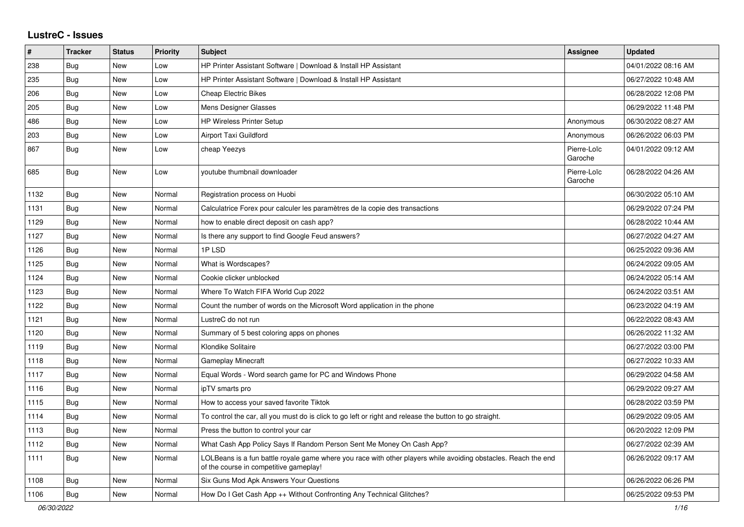## **LustreC - Issues**

| $\vert$ # | <b>Tracker</b> | <b>Status</b> | <b>Priority</b> | <b>Subject</b>                                                                                                                                           | Assignee               | <b>Updated</b>      |
|-----------|----------------|---------------|-----------------|----------------------------------------------------------------------------------------------------------------------------------------------------------|------------------------|---------------------|
| 238       | <b>Bug</b>     | New           | Low             | HP Printer Assistant Software   Download & Install HP Assistant                                                                                          |                        | 04/01/2022 08:16 AM |
| 235       | Bug            | New           | Low             | HP Printer Assistant Software   Download & Install HP Assistant                                                                                          |                        | 06/27/2022 10:48 AM |
| 206       | Bug            | New           | Low             | <b>Cheap Electric Bikes</b>                                                                                                                              |                        | 06/28/2022 12:08 PM |
| 205       | Bug            | New           | Low             | Mens Designer Glasses                                                                                                                                    |                        | 06/29/2022 11:48 PM |
| 486       | Bug            | New           | Low             | <b>HP Wireless Printer Setup</b>                                                                                                                         | Anonymous              | 06/30/2022 08:27 AM |
| 203       | Bug            | New           | Low             | Airport Taxi Guildford                                                                                                                                   | Anonymous              | 06/26/2022 06:03 PM |
| 867       | Bug            | New           | Low             | cheap Yeezys                                                                                                                                             | Pierre-Loïc<br>Garoche | 04/01/2022 09:12 AM |
| 685       | <b>Bug</b>     | <b>New</b>    | Low             | youtube thumbnail downloader                                                                                                                             | Pierre-Loïc<br>Garoche | 06/28/2022 04:26 AM |
| 1132      | <b>Bug</b>     | New           | Normal          | Registration process on Huobi                                                                                                                            |                        | 06/30/2022 05:10 AM |
| 1131      | Bug            | New           | Normal          | Calculatrice Forex pour calculer les paramètres de la copie des transactions                                                                             |                        | 06/29/2022 07:24 PM |
| 1129      | Bug            | New           | Normal          | how to enable direct deposit on cash app?                                                                                                                |                        | 06/28/2022 10:44 AM |
| 1127      | Bug            | New           | Normal          | Is there any support to find Google Feud answers?                                                                                                        |                        | 06/27/2022 04:27 AM |
| 1126      | Bug            | New           | Normal          | 1PLSD                                                                                                                                                    |                        | 06/25/2022 09:36 AM |
| 1125      | <b>Bug</b>     | <b>New</b>    | Normal          | What is Wordscapes?                                                                                                                                      |                        | 06/24/2022 09:05 AM |
| 1124      | Bug            | New           | Normal          | Cookie clicker unblocked                                                                                                                                 |                        | 06/24/2022 05:14 AM |
| 1123      | <b>Bug</b>     | New           | Normal          | Where To Watch FIFA World Cup 2022                                                                                                                       |                        | 06/24/2022 03:51 AM |
| 1122      | Bug            | New           | Normal          | Count the number of words on the Microsoft Word application in the phone                                                                                 |                        | 06/23/2022 04:19 AM |
| 1121      | Bug            | New           | Normal          | LustreC do not run                                                                                                                                       |                        | 06/22/2022 08:43 AM |
| 1120      | Bug            | New           | Normal          | Summary of 5 best coloring apps on phones                                                                                                                |                        | 06/26/2022 11:32 AM |
| 1119      | Bug            | New           | Normal          | Klondike Solitaire                                                                                                                                       |                        | 06/27/2022 03:00 PM |
| 1118      | <b>Bug</b>     | New           | Normal          | Gameplay Minecraft                                                                                                                                       |                        | 06/27/2022 10:33 AM |
| 1117      | Bug            | New           | Normal          | Equal Words - Word search game for PC and Windows Phone                                                                                                  |                        | 06/29/2022 04:58 AM |
| 1116      | Bug            | New           | Normal          | ipTV smarts pro                                                                                                                                          |                        | 06/29/2022 09:27 AM |
| 1115      | <b>Bug</b>     | New           | Normal          | How to access your saved favorite Tiktok                                                                                                                 |                        | 06/28/2022 03:59 PM |
| 1114      | <b>Bug</b>     | <b>New</b>    | Normal          | To control the car, all you must do is click to go left or right and release the button to go straight.                                                  |                        | 06/29/2022 09:05 AM |
| 1113      | <b>Bug</b>     | New           | Normal          | Press the button to control your car                                                                                                                     |                        | 06/20/2022 12:09 PM |
| 1112      | Bug            | New           | Normal          | What Cash App Policy Says If Random Person Sent Me Money On Cash App?                                                                                    |                        | 06/27/2022 02:39 AM |
| 1111      | <b>Bug</b>     | New           | Normal          | LOLBeans is a fun battle royale game where you race with other players while avoiding obstacles. Reach the end<br>of the course in competitive gameplay! |                        | 06/26/2022 09:17 AM |
| 1108      | Bug            | New           | Normal          | Six Guns Mod Apk Answers Your Questions                                                                                                                  |                        | 06/26/2022 06:26 PM |
| 1106      | <b>Bug</b>     | New           | Normal          | How Do I Get Cash App ++ Without Confronting Any Technical Glitches?                                                                                     |                        | 06/25/2022 09:53 PM |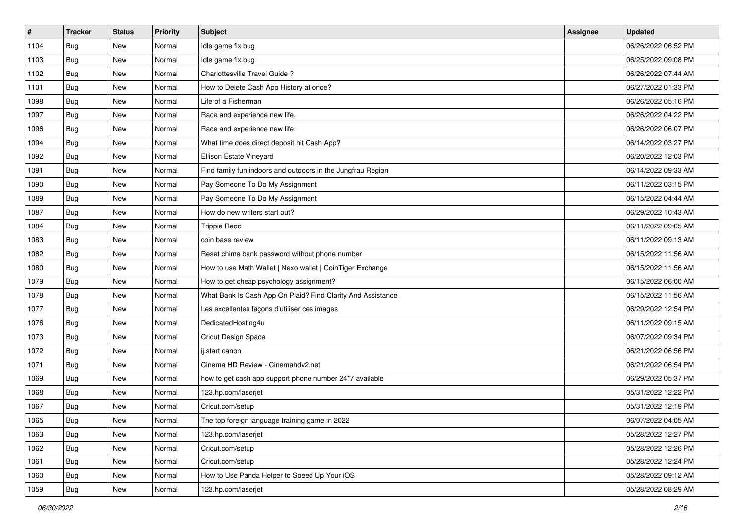| $\vert$ # | <b>Tracker</b> | <b>Status</b> | <b>Priority</b> | Subject                                                     | <b>Assignee</b> | <b>Updated</b>      |
|-----------|----------------|---------------|-----------------|-------------------------------------------------------------|-----------------|---------------------|
| 1104      | <b>Bug</b>     | New           | Normal          | Idle game fix bug                                           |                 | 06/26/2022 06:52 PM |
| 1103      | Bug            | New           | Normal          | Idle game fix bug                                           |                 | 06/25/2022 09:08 PM |
| 1102      | Bug            | New           | Normal          | Charlottesville Travel Guide?                               |                 | 06/26/2022 07:44 AM |
| 1101      | <b>Bug</b>     | New           | Normal          | How to Delete Cash App History at once?                     |                 | 06/27/2022 01:33 PM |
| 1098      | Bug            | <b>New</b>    | Normal          | Life of a Fisherman                                         |                 | 06/26/2022 05:16 PM |
| 1097      | Bug            | New           | Normal          | Race and experience new life.                               |                 | 06/26/2022 04:22 PM |
| 1096      | Bug            | New           | Normal          | Race and experience new life.                               |                 | 06/26/2022 06:07 PM |
| 1094      | Bug            | New           | Normal          | What time does direct deposit hit Cash App?                 |                 | 06/14/2022 03:27 PM |
| 1092      | Bug            | New           | Normal          | Ellison Estate Vineyard                                     |                 | 06/20/2022 12:03 PM |
| 1091      | Bug            | <b>New</b>    | Normal          | Find family fun indoors and outdoors in the Jungfrau Region |                 | 06/14/2022 09:33 AM |
| 1090      | Bug            | New           | Normal          | Pay Someone To Do My Assignment                             |                 | 06/11/2022 03:15 PM |
| 1089      | <b>Bug</b>     | New           | Normal          | Pay Someone To Do My Assignment                             |                 | 06/15/2022 04:44 AM |
| 1087      | Bug            | New           | Normal          | How do new writers start out?                               |                 | 06/29/2022 10:43 AM |
| 1084      | Bug            | New           | Normal          | <b>Trippie Redd</b>                                         |                 | 06/11/2022 09:05 AM |
| 1083      | Bug            | New           | Normal          | coin base review                                            |                 | 06/11/2022 09:13 AM |
| 1082      | <b>Bug</b>     | New           | Normal          | Reset chime bank password without phone number              |                 | 06/15/2022 11:56 AM |
| 1080      | <b>Bug</b>     | New           | Normal          | How to use Math Wallet   Nexo wallet   CoinTiger Exchange   |                 | 06/15/2022 11:56 AM |
| 1079      | Bug            | <b>New</b>    | Normal          | How to get cheap psychology assignment?                     |                 | 06/15/2022 06:00 AM |
| 1078      | <b>Bug</b>     | New           | Normal          | What Bank Is Cash App On Plaid? Find Clarity And Assistance |                 | 06/15/2022 11:56 AM |
| 1077      | Bug            | New           | Normal          | Les excellentes façons d'utiliser ces images                |                 | 06/29/2022 12:54 PM |
| 1076      | Bug            | New           | Normal          | DedicatedHosting4u                                          |                 | 06/11/2022 09:15 AM |
| 1073      | Bug            | New           | Normal          | Cricut Design Space                                         |                 | 06/07/2022 09:34 PM |
| 1072      | Bug            | <b>New</b>    | Normal          | ij.start canon                                              |                 | 06/21/2022 06:56 PM |
| 1071      | Bug            | New           | Normal          | Cinema HD Review - Cinemahdv2.net                           |                 | 06/21/2022 06:54 PM |
| 1069      | <b>Bug</b>     | New           | Normal          | how to get cash app support phone number 24*7 available     |                 | 06/29/2022 05:37 PM |
| 1068      | Bug            | New           | Normal          | 123.hp.com/laserjet                                         |                 | 05/31/2022 12:22 PM |
| 1067      | <b>Bug</b>     | New           | Normal          | Cricut.com/setup                                            |                 | 05/31/2022 12:19 PM |
| 1065      | <b>Bug</b>     | New           | Normal          | The top foreign language training game in 2022              |                 | 06/07/2022 04:05 AM |
| 1063      | Bug            | New           | Normal          | 123.hp.com/laserjet                                         |                 | 05/28/2022 12:27 PM |
| 1062      | <b>Bug</b>     | New           | Normal          | Cricut.com/setup                                            |                 | 05/28/2022 12:26 PM |
| 1061      | Bug            | New           | Normal          | Cricut.com/setup                                            |                 | 05/28/2022 12:24 PM |
| 1060      | <b>Bug</b>     | New           | Normal          | How to Use Panda Helper to Speed Up Your iOS                |                 | 05/28/2022 09:12 AM |
| 1059      | <b>Bug</b>     | New           | Normal          | 123.hp.com/laserjet                                         |                 | 05/28/2022 08:29 AM |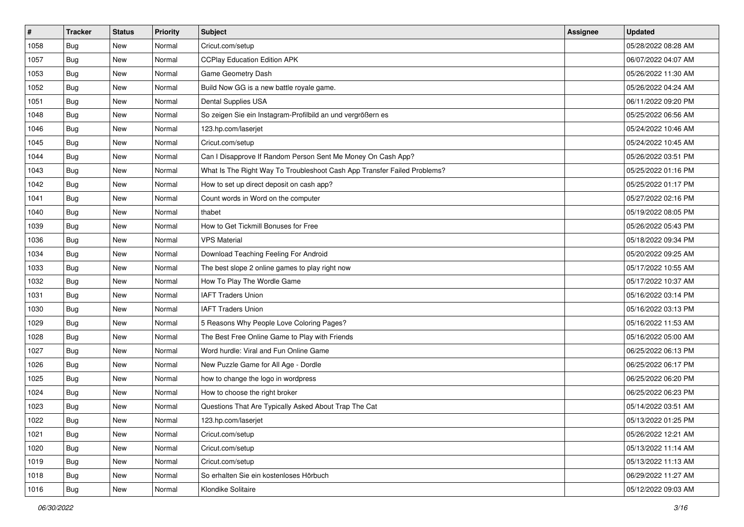| $\vert$ # | <b>Tracker</b> | <b>Status</b> | <b>Priority</b> | Subject                                                                  | <b>Assignee</b> | <b>Updated</b>      |
|-----------|----------------|---------------|-----------------|--------------------------------------------------------------------------|-----------------|---------------------|
| 1058      | <b>Bug</b>     | New           | Normal          | Cricut.com/setup                                                         |                 | 05/28/2022 08:28 AM |
| 1057      | Bug            | New           | Normal          | <b>CCPlay Education Edition APK</b>                                      |                 | 06/07/2022 04:07 AM |
| 1053      | Bug            | New           | Normal          | Game Geometry Dash                                                       |                 | 05/26/2022 11:30 AM |
| 1052      | Bug            | New           | Normal          | Build Now GG is a new battle royale game.                                |                 | 05/26/2022 04:24 AM |
| 1051      | Bug            | New           | Normal          | Dental Supplies USA                                                      |                 | 06/11/2022 09:20 PM |
| 1048      | Bug            | New           | Normal          | So zeigen Sie ein Instagram-Profilbild an und vergrößern es              |                 | 05/25/2022 06:56 AM |
| 1046      | Bug            | New           | Normal          | 123.hp.com/laserjet                                                      |                 | 05/24/2022 10:46 AM |
| 1045      | <b>Bug</b>     | New           | Normal          | Cricut.com/setup                                                         |                 | 05/24/2022 10:45 AM |
| 1044      | Bug            | New           | Normal          | Can I Disapprove If Random Person Sent Me Money On Cash App?             |                 | 05/26/2022 03:51 PM |
| 1043      | Bug            | New           | Normal          | What Is The Right Way To Troubleshoot Cash App Transfer Failed Problems? |                 | 05/25/2022 01:16 PM |
| 1042      | Bug            | New           | Normal          | How to set up direct deposit on cash app?                                |                 | 05/25/2022 01:17 PM |
| 1041      | Bug            | New           | Normal          | Count words in Word on the computer                                      |                 | 05/27/2022 02:16 PM |
| 1040      | Bug            | New           | Normal          | thabet                                                                   |                 | 05/19/2022 08:05 PM |
| 1039      | Bug            | New           | Normal          | How to Get Tickmill Bonuses for Free                                     |                 | 05/26/2022 05:43 PM |
| 1036      | <b>Bug</b>     | New           | Normal          | <b>VPS Material</b>                                                      |                 | 05/18/2022 09:34 PM |
| 1034      | Bug            | New           | Normal          | Download Teaching Feeling For Android                                    |                 | 05/20/2022 09:25 AM |
| 1033      | <b>Bug</b>     | New           | Normal          | The best slope 2 online games to play right now                          |                 | 05/17/2022 10:55 AM |
| 1032      | Bug            | New           | Normal          | How To Play The Wordle Game                                              |                 | 05/17/2022 10:37 AM |
| 1031      | Bug            | New           | Normal          | <b>IAFT Traders Union</b>                                                |                 | 05/16/2022 03:14 PM |
| 1030      | Bug            | New           | Normal          | <b>IAFT Traders Union</b>                                                |                 | 05/16/2022 03:13 PM |
| 1029      | Bug            | New           | Normal          | 5 Reasons Why People Love Coloring Pages?                                |                 | 05/16/2022 11:53 AM |
| 1028      | Bug            | New           | Normal          | The Best Free Online Game to Play with Friends                           |                 | 05/16/2022 05:00 AM |
| 1027      | Bug            | New           | Normal          | Word hurdle: Viral and Fun Online Game                                   |                 | 06/25/2022 06:13 PM |
| 1026      | Bug            | New           | Normal          | New Puzzle Game for All Age - Dordle                                     |                 | 06/25/2022 06:17 PM |
| 1025      | Bug            | New           | Normal          | how to change the logo in wordpress                                      |                 | 06/25/2022 06:20 PM |
| 1024      | Bug            | New           | Normal          | How to choose the right broker                                           |                 | 06/25/2022 06:23 PM |
| 1023      | <b>Bug</b>     | New           | Normal          | Questions That Are Typically Asked About Trap The Cat                    |                 | 05/14/2022 03:51 AM |
| 1022      | I Bug          | New           | Normal          | 123.hp.com/laserjet                                                      |                 | 05/13/2022 01:25 PM |
| 1021      | Bug            | New           | Normal          | Cricut.com/setup                                                         |                 | 05/26/2022 12:21 AM |
| 1020      | Bug            | New           | Normal          | Cricut.com/setup                                                         |                 | 05/13/2022 11:14 AM |
| 1019      | Bug            | New           | Normal          | Cricut.com/setup                                                         |                 | 05/13/2022 11:13 AM |
| 1018      | <b>Bug</b>     | New           | Normal          | So erhalten Sie ein kostenloses Hörbuch                                  |                 | 06/29/2022 11:27 AM |
| 1016      | <b>Bug</b>     | New           | Normal          | Klondike Solitaire                                                       |                 | 05/12/2022 09:03 AM |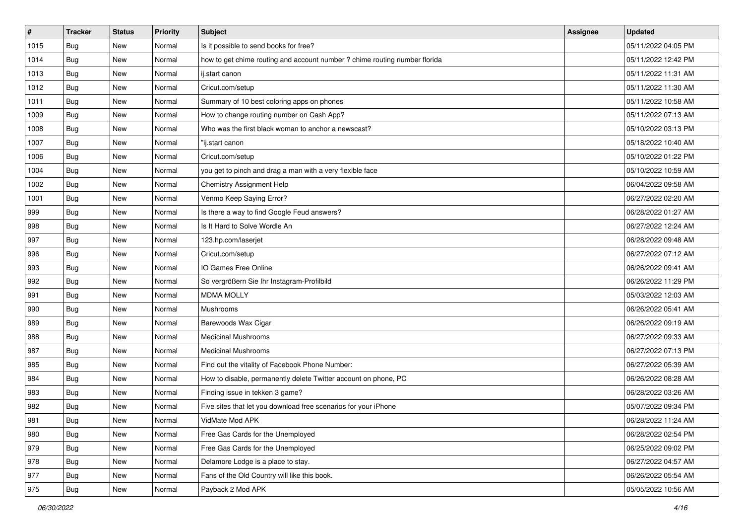| $\vert$ # | <b>Tracker</b> | <b>Status</b> | <b>Priority</b> | Subject                                                                    | <b>Assignee</b> | <b>Updated</b>      |
|-----------|----------------|---------------|-----------------|----------------------------------------------------------------------------|-----------------|---------------------|
| 1015      | <b>Bug</b>     | New           | Normal          | Is it possible to send books for free?                                     |                 | 05/11/2022 04:05 PM |
| 1014      | Bug            | New           | Normal          | how to get chime routing and account number ? chime routing number florida |                 | 05/11/2022 12:42 PM |
| 1013      | Bug            | New           | Normal          | ij.start canon                                                             |                 | 05/11/2022 11:31 AM |
| 1012      | <b>Bug</b>     | New           | Normal          | Cricut.com/setup                                                           |                 | 05/11/2022 11:30 AM |
| 1011      | Bug            | <b>New</b>    | Normal          | Summary of 10 best coloring apps on phones                                 |                 | 05/11/2022 10:58 AM |
| 1009      | Bug            | New           | Normal          | How to change routing number on Cash App?                                  |                 | 05/11/2022 07:13 AM |
| 1008      | Bug            | New           | Normal          | Who was the first black woman to anchor a newscast?                        |                 | 05/10/2022 03:13 PM |
| 1007      | Bug            | New           | Normal          | "ij.start canon                                                            |                 | 05/18/2022 10:40 AM |
| 1006      | <b>Bug</b>     | New           | Normal          | Cricut.com/setup                                                           |                 | 05/10/2022 01:22 PM |
| 1004      | Bug            | <b>New</b>    | Normal          | you get to pinch and drag a man with a very flexible face                  |                 | 05/10/2022 10:59 AM |
| 1002      | Bug            | New           | Normal          | Chemistry Assignment Help                                                  |                 | 06/04/2022 09:58 AM |
| 1001      | Bug            | New           | Normal          | Venmo Keep Saying Error?                                                   |                 | 06/27/2022 02:20 AM |
| 999       | Bug            | <b>New</b>    | Normal          | Is there a way to find Google Feud answers?                                |                 | 06/28/2022 01:27 AM |
| 998       | <b>Bug</b>     | New           | Normal          | Is It Hard to Solve Wordle An                                              |                 | 06/27/2022 12:24 AM |
| 997       | <b>Bug</b>     | New           | Normal          | 123.hp.com/laserjet                                                        |                 | 06/28/2022 09:48 AM |
| 996       | Bug            | New           | Normal          | Cricut.com/setup                                                           |                 | 06/27/2022 07:12 AM |
| 993       | <b>Bug</b>     | New           | Normal          | IO Games Free Online                                                       |                 | 06/26/2022 09:41 AM |
| 992       | Bug            | <b>New</b>    | Normal          | So vergrößern Sie Ihr Instagram-Profilbild                                 |                 | 06/26/2022 11:29 PM |
| 991       | <b>Bug</b>     | New           | Normal          | <b>MDMA MOLLY</b>                                                          |                 | 05/03/2022 12:03 AM |
| 990       | Bug            | New           | Normal          | Mushrooms                                                                  |                 | 06/26/2022 05:41 AM |
| 989       | Bug            | New           | Normal          | Barewoods Wax Cigar                                                        |                 | 06/26/2022 09:19 AM |
| 988       | <b>Bug</b>     | New           | Normal          | <b>Medicinal Mushrooms</b>                                                 |                 | 06/27/2022 09:33 AM |
| 987       | Bug            | <b>New</b>    | Normal          | <b>Medicinal Mushrooms</b>                                                 |                 | 06/27/2022 07:13 PM |
| 985       | Bug            | New           | Normal          | Find out the vitality of Facebook Phone Number:                            |                 | 06/27/2022 05:39 AM |
| 984       | Bug            | New           | Normal          | How to disable, permanently delete Twitter account on phone, PC            |                 | 06/26/2022 08:28 AM |
| 983       | Bug            | New           | Normal          | Finding issue in tekken 3 game?                                            |                 | 06/28/2022 03:26 AM |
| 982       | <b>Bug</b>     | New           | Normal          | Five sites that let you download free scenarios for your iPhone            |                 | 05/07/2022 09:34 PM |
| 981       | <b>Bug</b>     | New           | Normal          | VidMate Mod APK                                                            |                 | 06/28/2022 11:24 AM |
| 980       | Bug            | New           | Normal          | Free Gas Cards for the Unemployed                                          |                 | 06/28/2022 02:54 PM |
| 979       | Bug            | New           | Normal          | Free Gas Cards for the Unemployed                                          |                 | 06/25/2022 09:02 PM |
| 978       | <b>Bug</b>     | New           | Normal          | Delamore Lodge is a place to stay.                                         |                 | 06/27/2022 04:57 AM |
| 977       | <b>Bug</b>     | New           | Normal          | Fans of the Old Country will like this book.                               |                 | 06/26/2022 05:54 AM |
| 975       | <b>Bug</b>     | New           | Normal          | Payback 2 Mod APK                                                          |                 | 05/05/2022 10:56 AM |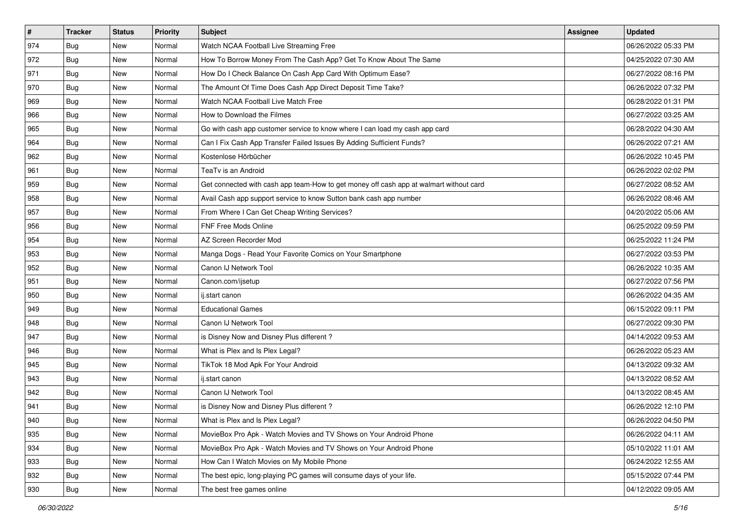| $\vert$ # | <b>Tracker</b> | <b>Status</b> | Priority | Subject                                                                                | <b>Assignee</b> | <b>Updated</b>      |
|-----------|----------------|---------------|----------|----------------------------------------------------------------------------------------|-----------------|---------------------|
| 974       | <b>Bug</b>     | New           | Normal   | Watch NCAA Football Live Streaming Free                                                |                 | 06/26/2022 05:33 PM |
| 972       | Bug            | New           | Normal   | How To Borrow Money From The Cash App? Get To Know About The Same                      |                 | 04/25/2022 07:30 AM |
| 971       | <b>Bug</b>     | New           | Normal   | How Do I Check Balance On Cash App Card With Optimum Ease?                             |                 | 06/27/2022 08:16 PM |
| 970       | <b>Bug</b>     | New           | Normal   | The Amount Of Time Does Cash App Direct Deposit Time Take?                             |                 | 06/26/2022 07:32 PM |
| 969       | <b>Bug</b>     | New           | Normal   | Watch NCAA Football Live Match Free                                                    |                 | 06/28/2022 01:31 PM |
| 966       | Bug            | New           | Normal   | How to Download the Filmes                                                             |                 | 06/27/2022 03:25 AM |
| 965       | <b>Bug</b>     | New           | Normal   | Go with cash app customer service to know where I can load my cash app card            |                 | 06/28/2022 04:30 AM |
| 964       | <b>Bug</b>     | New           | Normal   | Can I Fix Cash App Transfer Failed Issues By Adding Sufficient Funds?                  |                 | 06/26/2022 07:21 AM |
| 962       | <b>Bug</b>     | New           | Normal   | Kostenlose Hörbücher                                                                   |                 | 06/26/2022 10:45 PM |
| 961       | <b>Bug</b>     | New           | Normal   | TeaTv is an Android                                                                    |                 | 06/26/2022 02:02 PM |
| 959       | <b>Bug</b>     | New           | Normal   | Get connected with cash app team-How to get money off cash app at walmart without card |                 | 06/27/2022 08:52 AM |
| 958       | <b>Bug</b>     | New           | Normal   | Avail Cash app support service to know Sutton bank cash app number                     |                 | 06/26/2022 08:46 AM |
| 957       | Bug            | New           | Normal   | From Where I Can Get Cheap Writing Services?                                           |                 | 04/20/2022 05:06 AM |
| 956       | <b>Bug</b>     | New           | Normal   | FNF Free Mods Online                                                                   |                 | 06/25/2022 09:59 PM |
| 954       | <b>Bug</b>     | New           | Normal   | AZ Screen Recorder Mod                                                                 |                 | 06/25/2022 11:24 PM |
| 953       | <b>Bug</b>     | New           | Normal   | Manga Dogs - Read Your Favorite Comics on Your Smartphone                              |                 | 06/27/2022 03:53 PM |
| 952       | <b>Bug</b>     | New           | Normal   | Canon IJ Network Tool                                                                  |                 | 06/26/2022 10:35 AM |
| 951       | <b>Bug</b>     | New           | Normal   | Canon.com/ijsetup                                                                      |                 | 06/27/2022 07:56 PM |
| 950       | <b>Bug</b>     | New           | Normal   | ij.start canon                                                                         |                 | 06/26/2022 04:35 AM |
| 949       | <b>Bug</b>     | New           | Normal   | <b>Educational Games</b>                                                               |                 | 06/15/2022 09:11 PM |
| 948       | <b>Bug</b>     | <b>New</b>    | Normal   | Canon IJ Network Tool                                                                  |                 | 06/27/2022 09:30 PM |
| 947       | <b>Bug</b>     | New           | Normal   | is Disney Now and Disney Plus different?                                               |                 | 04/14/2022 09:53 AM |
| 946       | <b>Bug</b>     | New           | Normal   | What is Plex and Is Plex Legal?                                                        |                 | 06/26/2022 05:23 AM |
| 945       | Bug            | New           | Normal   | TikTok 18 Mod Apk For Your Android                                                     |                 | 04/13/2022 09:32 AM |
| 943       | Bug            | New           | Normal   | ij.start canon                                                                         |                 | 04/13/2022 08:52 AM |
| 942       | Bug            | New           | Normal   | Canon IJ Network Tool                                                                  |                 | 04/13/2022 08:45 AM |
| 941       | <b>Bug</b>     | New           | Normal   | is Disney Now and Disney Plus different?                                               |                 | 06/26/2022 12:10 PM |
| 940       | <b>Bug</b>     | New           | Normal   | What is Plex and Is Plex Legal?                                                        |                 | 06/26/2022 04:50 PM |
| 935       | Bug            | New           | Normal   | MovieBox Pro Apk - Watch Movies and TV Shows on Your Android Phone                     |                 | 06/26/2022 04:11 AM |
| 934       | Bug            | New           | Normal   | MovieBox Pro Apk - Watch Movies and TV Shows on Your Android Phone                     |                 | 05/10/2022 11:01 AM |
| 933       | <b>Bug</b>     | New           | Normal   | How Can I Watch Movies on My Mobile Phone                                              |                 | 06/24/2022 12:55 AM |
| 932       | <b>Bug</b>     | New           | Normal   | The best epic, long-playing PC games will consume days of your life.                   |                 | 05/15/2022 07:44 PM |
| 930       | <b>Bug</b>     | New           | Normal   | The best free games online                                                             |                 | 04/12/2022 09:05 AM |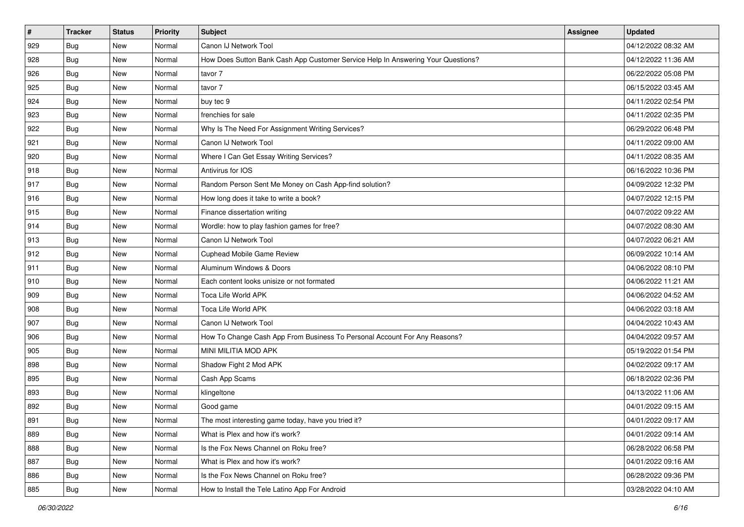| $\vert$ # | <b>Tracker</b> | <b>Status</b> | <b>Priority</b> | Subject                                                                          | Assignee | <b>Updated</b>      |
|-----------|----------------|---------------|-----------------|----------------------------------------------------------------------------------|----------|---------------------|
| 929       | Bug            | New           | Normal          | Canon IJ Network Tool                                                            |          | 04/12/2022 08:32 AM |
| 928       | Bug            | New           | Normal          | How Does Sutton Bank Cash App Customer Service Help In Answering Your Questions? |          | 04/12/2022 11:36 AM |
| 926       | Bug            | <b>New</b>    | Normal          | tavor 7                                                                          |          | 06/22/2022 05:08 PM |
| 925       | Bug            | New           | Normal          | tavor 7                                                                          |          | 06/15/2022 03:45 AM |
| 924       | <b>Bug</b>     | New           | Normal          | buy tec 9                                                                        |          | 04/11/2022 02:54 PM |
| 923       | Bug            | New           | Normal          | frenchies for sale                                                               |          | 04/11/2022 02:35 PM |
| 922       | <b>Bug</b>     | New           | Normal          | Why Is The Need For Assignment Writing Services?                                 |          | 06/29/2022 06:48 PM |
| 921       | Bug            | <b>New</b>    | Normal          | Canon IJ Network Tool                                                            |          | 04/11/2022 09:00 AM |
| 920       | <b>Bug</b>     | New           | Normal          | Where I Can Get Essay Writing Services?                                          |          | 04/11/2022 08:35 AM |
| 918       | <b>Bug</b>     | New           | Normal          | Antivirus for IOS                                                                |          | 06/16/2022 10:36 PM |
| 917       | Bug            | New           | Normal          | Random Person Sent Me Money on Cash App-find solution?                           |          | 04/09/2022 12:32 PM |
| 916       | <b>Bug</b>     | New           | Normal          | How long does it take to write a book?                                           |          | 04/07/2022 12:15 PM |
| 915       | Bug            | <b>New</b>    | Normal          | Finance dissertation writing                                                     |          | 04/07/2022 09:22 AM |
| 914       | Bug            | New           | Normal          | Wordle: how to play fashion games for free?                                      |          | 04/07/2022 08:30 AM |
| 913       | Bug            | New           | Normal          | Canon IJ Network Tool                                                            |          | 04/07/2022 06:21 AM |
| 912       | Bug            | <b>New</b>    | Normal          | Cuphead Mobile Game Review                                                       |          | 06/09/2022 10:14 AM |
| 911       | Bug            | New           | Normal          | Aluminum Windows & Doors                                                         |          | 04/06/2022 08:10 PM |
| 910       | Bug            | <b>New</b>    | Normal          | Each content looks unisize or not formated                                       |          | 04/06/2022 11:21 AM |
| 909       | Bug            | New           | Normal          | Toca Life World APK                                                              |          | 04/06/2022 04:52 AM |
| 908       | Bug            | New           | Normal          | Toca Life World APK                                                              |          | 04/06/2022 03:18 AM |
| 907       | Bug            | <b>New</b>    | Normal          | Canon IJ Network Tool                                                            |          | 04/04/2022 10:43 AM |
| 906       | Bug            | New           | Normal          | How To Change Cash App From Business To Personal Account For Any Reasons?        |          | 04/04/2022 09:57 AM |
| 905       | <b>Bug</b>     | New           | Normal          | MINI MILITIA MOD APK                                                             |          | 05/19/2022 01:54 PM |
| 898       | Bug            | New           | Normal          | Shadow Fight 2 Mod APK                                                           |          | 04/02/2022 09:17 AM |
| 895       | <b>Bug</b>     | New           | Normal          | Cash App Scams                                                                   |          | 06/18/2022 02:36 PM |
| 893       | Bug            | New           | Normal          | klingeltone                                                                      |          | 04/13/2022 11:06 AM |
| 892       | Bug            | New           | Normal          | Good game                                                                        |          | 04/01/2022 09:15 AM |
| 891       | Bug            | New           | Normal          | The most interesting game today, have you tried it?                              |          | 04/01/2022 09:17 AM |
| 889       | Bug            | New           | Normal          | What is Plex and how it's work?                                                  |          | 04/01/2022 09:14 AM |
| 888       | <b>Bug</b>     | New           | Normal          | Is the Fox News Channel on Roku free?                                            |          | 06/28/2022 06:58 PM |
| 887       | Bug            | New           | Normal          | What is Plex and how it's work?                                                  |          | 04/01/2022 09:16 AM |
| 886       | Bug            | New           | Normal          | Is the Fox News Channel on Roku free?                                            |          | 06/28/2022 09:36 PM |
| 885       | <b>Bug</b>     | New           | Normal          | How to Install the Tele Latino App For Android                                   |          | 03/28/2022 04:10 AM |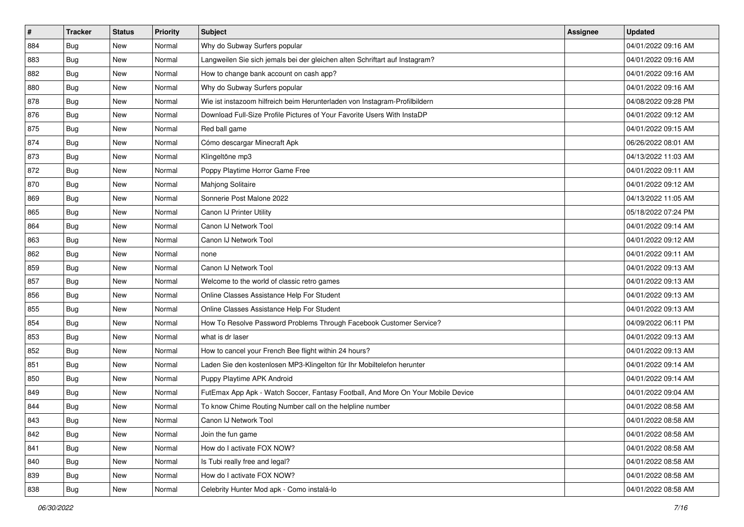| $\vert$ # | <b>Tracker</b> | <b>Status</b> | <b>Priority</b> | Subject                                                                          | <b>Assignee</b> | <b>Updated</b>      |
|-----------|----------------|---------------|-----------------|----------------------------------------------------------------------------------|-----------------|---------------------|
| 884       | Bug            | New           | Normal          | Why do Subway Surfers popular                                                    |                 | 04/01/2022 09:16 AM |
| 883       | <b>Bug</b>     | New           | Normal          | Langweilen Sie sich jemals bei der gleichen alten Schriftart auf Instagram?      |                 | 04/01/2022 09:16 AM |
| 882       | <b>Bug</b>     | New           | Normal          | How to change bank account on cash app?                                          |                 | 04/01/2022 09:16 AM |
| 880       | <b>Bug</b>     | New           | Normal          | Why do Subway Surfers popular                                                    |                 | 04/01/2022 09:16 AM |
| 878       | Bug            | <b>New</b>    | Normal          | Wie ist instazoom hilfreich beim Herunterladen von Instagram-Profilbildern       |                 | 04/08/2022 09:28 PM |
| 876       | Bug            | New           | Normal          | Download Full-Size Profile Pictures of Your Favorite Users With InstaDP          |                 | 04/01/2022 09:12 AM |
| 875       | <b>Bug</b>     | New           | Normal          | Red ball game                                                                    |                 | 04/01/2022 09:15 AM |
| 874       | Bug            | New           | Normal          | Cómo descargar Minecraft Apk                                                     |                 | 06/26/2022 08:01 AM |
| 873       | Bug            | New           | Normal          | Klingeltöne mp3                                                                  |                 | 04/13/2022 11:03 AM |
| 872       | Bug            | <b>New</b>    | Normal          | Poppy Playtime Horror Game Free                                                  |                 | 04/01/2022 09:11 AM |
| 870       | Bug            | New           | Normal          | Mahjong Solitaire                                                                |                 | 04/01/2022 09:12 AM |
| 869       | Bug            | New           | Normal          | Sonnerie Post Malone 2022                                                        |                 | 04/13/2022 11:05 AM |
| 865       | Bug            | New           | Normal          | Canon IJ Printer Utility                                                         |                 | 05/18/2022 07:24 PM |
| 864       | Bug            | New           | Normal          | Canon IJ Network Tool                                                            |                 | 04/01/2022 09:14 AM |
| 863       | <b>Bug</b>     | New           | Normal          | Canon IJ Network Tool                                                            |                 | 04/01/2022 09:12 AM |
| 862       | Bug            | New           | Normal          | none                                                                             |                 | 04/01/2022 09:11 AM |
| 859       | Bug            | New           | Normal          | Canon IJ Network Tool                                                            |                 | 04/01/2022 09:13 AM |
| 857       | Bug            | <b>New</b>    | Normal          | Welcome to the world of classic retro games                                      |                 | 04/01/2022 09:13 AM |
| 856       | Bug            | New           | Normal          | Online Classes Assistance Help For Student                                       |                 | 04/01/2022 09:13 AM |
| 855       | Bug            | New           | Normal          | Online Classes Assistance Help For Student                                       |                 | 04/01/2022 09:13 AM |
| 854       | Bug            | New           | Normal          | How To Resolve Password Problems Through Facebook Customer Service?              |                 | 04/09/2022 06:11 PM |
| 853       | Bug            | New           | Normal          | what is dr laser                                                                 |                 | 04/01/2022 09:13 AM |
| 852       | Bug            | <b>New</b>    | Normal          | How to cancel your French Bee flight within 24 hours?                            |                 | 04/01/2022 09:13 AM |
| 851       | Bug            | New           | Normal          | Laden Sie den kostenlosen MP3-Klingelton für Ihr Mobiltelefon herunter           |                 | 04/01/2022 09:14 AM |
| 850       | <b>Bug</b>     | New           | Normal          | Puppy Playtime APK Android                                                       |                 | 04/01/2022 09:14 AM |
| 849       | Bug            | New           | Normal          | FutEmax App Apk - Watch Soccer, Fantasy Football, And More On Your Mobile Device |                 | 04/01/2022 09:04 AM |
| 844       | <b>Bug</b>     | New           | Normal          | To know Chime Routing Number call on the helpline number                         |                 | 04/01/2022 08:58 AM |
| 843       | <b>Bug</b>     | New           | Normal          | Canon IJ Network Tool                                                            |                 | 04/01/2022 08:58 AM |
| 842       | Bug            | New           | Normal          | Join the fun game                                                                |                 | 04/01/2022 08:58 AM |
| 841       | Bug            | New           | Normal          | How do I activate FOX NOW?                                                       |                 | 04/01/2022 08:58 AM |
| 840       | <b>Bug</b>     | New           | Normal          | Is Tubi really free and legal?                                                   |                 | 04/01/2022 08:58 AM |
| 839       | Bug            | New           | Normal          | How do I activate FOX NOW?                                                       |                 | 04/01/2022 08:58 AM |
| 838       | <b>Bug</b>     | New           | Normal          | Celebrity Hunter Mod apk - Como instalá-lo                                       |                 | 04/01/2022 08:58 AM |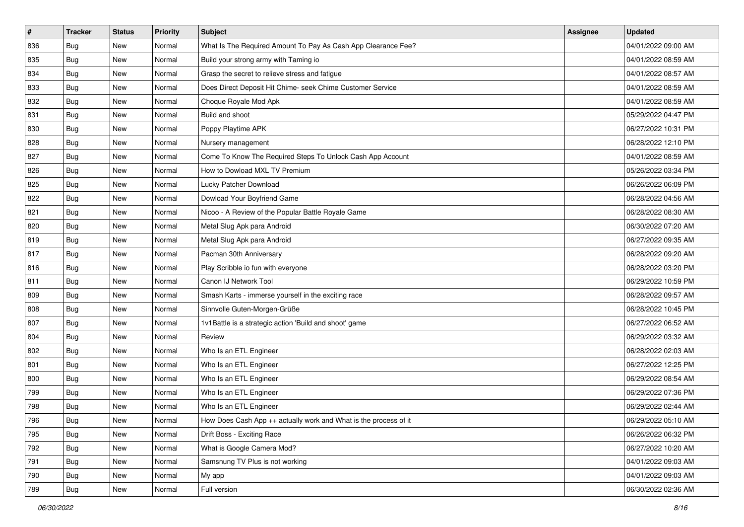| $\sharp$ | <b>Tracker</b> | <b>Status</b> | <b>Priority</b> | Subject                                                          | <b>Assignee</b> | <b>Updated</b>      |
|----------|----------------|---------------|-----------------|------------------------------------------------------------------|-----------------|---------------------|
| 836      | <b>Bug</b>     | New           | Normal          | What Is The Required Amount To Pay As Cash App Clearance Fee?    |                 | 04/01/2022 09:00 AM |
| 835      | Bug            | New           | Normal          | Build your strong army with Taming io                            |                 | 04/01/2022 08:59 AM |
| 834      | Bug            | New           | Normal          | Grasp the secret to relieve stress and fatigue                   |                 | 04/01/2022 08:57 AM |
| 833      | <b>Bug</b>     | New           | Normal          | Does Direct Deposit Hit Chime- seek Chime Customer Service       |                 | 04/01/2022 08:59 AM |
| 832      | <b>Bug</b>     | New           | Normal          | Choque Royale Mod Apk                                            |                 | 04/01/2022 08:59 AM |
| 831      | Bug            | New           | Normal          | Build and shoot                                                  |                 | 05/29/2022 04:47 PM |
| 830      | <b>Bug</b>     | New           | Normal          | Poppy Playtime APK                                               |                 | 06/27/2022 10:31 PM |
| 828      | <b>Bug</b>     | New           | Normal          | Nursery management                                               |                 | 06/28/2022 12:10 PM |
| 827      | <b>Bug</b>     | New           | Normal          | Come To Know The Required Steps To Unlock Cash App Account       |                 | 04/01/2022 08:59 AM |
| 826      | <b>Bug</b>     | New           | Normal          | How to Dowload MXL TV Premium                                    |                 | 05/26/2022 03:34 PM |
| 825      | Bug            | New           | Normal          | Lucky Patcher Download                                           |                 | 06/26/2022 06:09 PM |
| 822      | <b>Bug</b>     | New           | Normal          | Dowload Your Boyfriend Game                                      |                 | 06/28/2022 04:56 AM |
| 821      | Bug            | <b>New</b>    | Normal          | Nicoo - A Review of the Popular Battle Royale Game               |                 | 06/28/2022 08:30 AM |
| 820      | <b>Bug</b>     | New           | Normal          | Metal Slug Apk para Android                                      |                 | 06/30/2022 07:20 AM |
| 819      | <b>Bug</b>     | New           | Normal          | Metal Slug Apk para Android                                      |                 | 06/27/2022 09:35 AM |
| 817      | <b>Bug</b>     | New           | Normal          | Pacman 30th Anniversary                                          |                 | 06/28/2022 09:20 AM |
| 816      | <b>Bug</b>     | New           | Normal          | Play Scribble io fun with everyone                               |                 | 06/28/2022 03:20 PM |
| 811      | Bug            | <b>New</b>    | Normal          | Canon IJ Network Tool                                            |                 | 06/29/2022 10:59 PM |
| 809      | <b>Bug</b>     | New           | Normal          | Smash Karts - immerse yourself in the exciting race              |                 | 06/28/2022 09:57 AM |
| 808      | <b>Bug</b>     | New           | Normal          | Sinnvolle Guten-Morgen-Grüße                                     |                 | 06/28/2022 10:45 PM |
| 807      | <b>Bug</b>     | New           | Normal          | 1v1Battle is a strategic action 'Build and shoot' game           |                 | 06/27/2022 06:52 AM |
| 804      | <b>Bug</b>     | New           | Normal          | Review                                                           |                 | 06/29/2022 03:32 AM |
| 802      | Bug            | <b>New</b>    | Normal          | Who Is an ETL Engineer                                           |                 | 06/28/2022 02:03 AM |
| 801      | Bug            | New           | Normal          | Who Is an ETL Engineer                                           |                 | 06/27/2022 12:25 PM |
| 800      | <b>Bug</b>     | New           | Normal          | Who Is an ETL Engineer                                           |                 | 06/29/2022 08:54 AM |
| 799      | Bug            | <b>New</b>    | Normal          | Who Is an ETL Engineer                                           |                 | 06/29/2022 07:36 PM |
| 798      | <b>Bug</b>     | New           | Normal          | Who Is an ETL Engineer                                           |                 | 06/29/2022 02:44 AM |
| 796      | Bug            | New           | Normal          | How Does Cash App ++ actually work and What is the process of it |                 | 06/29/2022 05:10 AM |
| 795      | Bug            | New           | Normal          | Drift Boss - Exciting Race                                       |                 | 06/26/2022 06:32 PM |
| 792      | Bug            | New           | Normal          | What is Google Camera Mod?                                       |                 | 06/27/2022 10:20 AM |
| 791      | Bug            | New           | Normal          | Samsnung TV Plus is not working                                  |                 | 04/01/2022 09:03 AM |
| 790      | <b>Bug</b>     | New           | Normal          | My app                                                           |                 | 04/01/2022 09:03 AM |
| 789      | Bug            | New           | Normal          | Full version                                                     |                 | 06/30/2022 02:36 AM |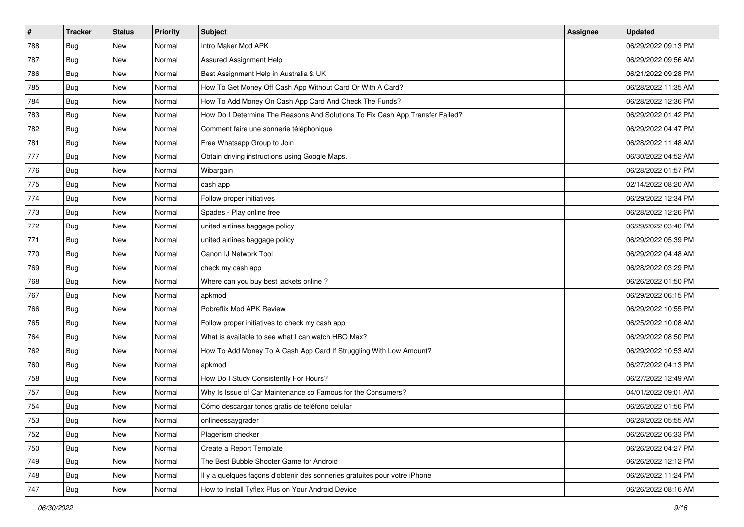| $\vert$ # | <b>Tracker</b> | <b>Status</b> | <b>Priority</b> | Subject                                                                       | <b>Assignee</b> | <b>Updated</b>      |
|-----------|----------------|---------------|-----------------|-------------------------------------------------------------------------------|-----------------|---------------------|
| 788       | <b>Bug</b>     | New           | Normal          | Intro Maker Mod APK                                                           |                 | 06/29/2022 09:13 PM |
| 787       | Bug            | New           | Normal          | Assured Assignment Help                                                       |                 | 06/29/2022 09:56 AM |
| 786       | <b>Bug</b>     | New           | Normal          | Best Assignment Help in Australia & UK                                        |                 | 06/21/2022 09:28 PM |
| 785       | <b>Bug</b>     | New           | Normal          | How To Get Money Off Cash App Without Card Or With A Card?                    |                 | 06/28/2022 11:35 AM |
| 784       | Bug            | <b>New</b>    | Normal          | How To Add Money On Cash App Card And Check The Funds?                        |                 | 06/28/2022 12:36 PM |
| 783       | <b>Bug</b>     | New           | Normal          | How Do I Determine The Reasons And Solutions To Fix Cash App Transfer Failed? |                 | 06/29/2022 01:42 PM |
| 782       | <b>Bug</b>     | New           | Normal          | Comment faire une sonnerie téléphonique                                       |                 | 06/29/2022 04:47 PM |
| 781       | Bug            | New           | Normal          | Free Whatsapp Group to Join                                                   |                 | 06/28/2022 11:48 AM |
| 777       | <b>Bug</b>     | New           | Normal          | Obtain driving instructions using Google Maps.                                |                 | 06/30/2022 04:52 AM |
| 776       | Bug            | <b>New</b>    | Normal          | Wibargain                                                                     |                 | 06/28/2022 01:57 PM |
| 775       | Bug            | New           | Normal          | cash app                                                                      |                 | 02/14/2022 08:20 AM |
| 774       | Bug            | New           | Normal          | Follow proper initiatives                                                     |                 | 06/29/2022 12:34 PM |
| 773       | Bug            | New           | Normal          | Spades - Play online free                                                     |                 | 06/28/2022 12:26 PM |
| 772       | <b>Bug</b>     | New           | Normal          | united airlines baggage policy                                                |                 | 06/29/2022 03:40 PM |
| 771       | <b>Bug</b>     | New           | Normal          | united airlines baggage policy                                                |                 | 06/29/2022 05:39 PM |
| 770       | Bug            | New           | Normal          | Canon IJ Network Tool                                                         |                 | 06/29/2022 04:48 AM |
| 769       | <b>Bug</b>     | New           | Normal          | check my cash app                                                             |                 | 06/28/2022 03:29 PM |
| 768       | Bug            | <b>New</b>    | Normal          | Where can you buy best jackets online?                                        |                 | 06/26/2022 01:50 PM |
| 767       | <b>Bug</b>     | New           | Normal          | apkmod                                                                        |                 | 06/29/2022 06:15 PM |
| 766       | Bug            | New           | Normal          | Pobreflix Mod APK Review                                                      |                 | 06/29/2022 10:55 PM |
| 765       | Bug            | New           | Normal          | Follow proper initiatives to check my cash app                                |                 | 06/25/2022 10:08 AM |
| 764       | <b>Bug</b>     | New           | Normal          | What is available to see what I can watch HBO Max?                            |                 | 06/29/2022 08:50 PM |
| 762       | Bug            | <b>New</b>    | Normal          | How To Add Money To A Cash App Card If Struggling With Low Amount?            |                 | 06/29/2022 10:53 AM |
| 760       | Bug            | New           | Normal          | apkmod                                                                        |                 | 06/27/2022 04:13 PM |
| 758       | Bug            | New           | Normal          | How Do I Study Consistently For Hours?                                        |                 | 06/27/2022 12:49 AM |
| 757       | Bug            | New           | Normal          | Why Is Issue of Car Maintenance so Famous for the Consumers?                  |                 | 04/01/2022 09:01 AM |
| 754       | <b>Bug</b>     | New           | Normal          | Cómo descargar tonos gratis de teléfono celular                               |                 | 06/26/2022 01:56 PM |
| 753       | i Bug          | New           | Normal          | onlineessaygrader                                                             |                 | 06/28/2022 05:55 AM |
| 752       | Bug            | New           | Normal          | Plagerism checker                                                             |                 | 06/26/2022 06:33 PM |
| 750       | <b>Bug</b>     | New           | Normal          | Create a Report Template                                                      |                 | 06/26/2022 04:27 PM |
| 749       | Bug            | New           | Normal          | The Best Bubble Shooter Game for Android                                      |                 | 06/26/2022 12:12 PM |
| 748       | <b>Bug</b>     | New           | Normal          | Il y a quelques façons d'obtenir des sonneries gratuites pour votre iPhone    |                 | 06/26/2022 11:24 PM |
| 747       | <b>Bug</b>     | New           | Normal          | How to Install Tyflex Plus on Your Android Device                             |                 | 06/26/2022 08:16 AM |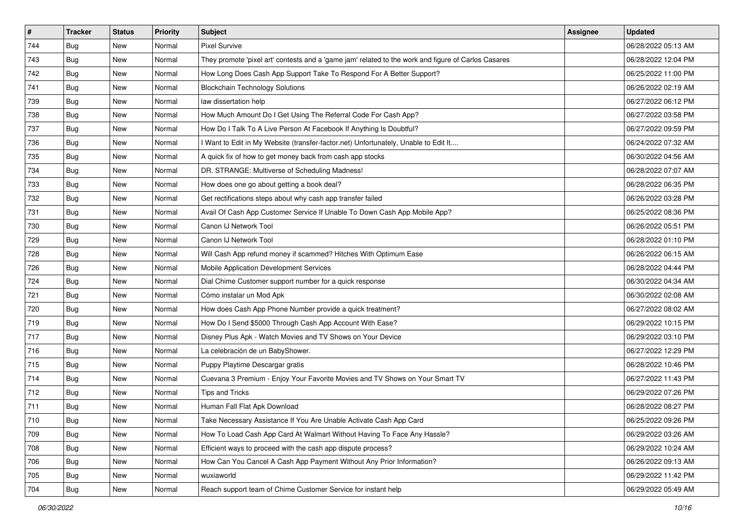| $\vert$ # | <b>Tracker</b> | <b>Status</b> | Priority | Subject                                                                                             | Assignee | <b>Updated</b>      |
|-----------|----------------|---------------|----------|-----------------------------------------------------------------------------------------------------|----------|---------------------|
| 744       | Bug            | New           | Normal   | <b>Pixel Survive</b>                                                                                |          | 06/28/2022 05:13 AM |
| 743       | Bug            | New           | Normal   | They promote 'pixel art' contests and a 'game jam' related to the work and figure of Carlos Casares |          | 06/28/2022 12:04 PM |
| 742       | Bug            | New           | Normal   | How Long Does Cash App Support Take To Respond For A Better Support?                                |          | 06/25/2022 11:00 PM |
| 741       | Bug            | New           | Normal   | <b>Blockchain Technology Solutions</b>                                                              |          | 06/26/2022 02:19 AM |
| 739       | Bug            | New           | Normal   | law dissertation help                                                                               |          | 06/27/2022 06:12 PM |
| 738       | Bug            | New           | Normal   | How Much Amount Do I Get Using The Referral Code For Cash App?                                      |          | 06/27/2022 03:58 PM |
| 737       | Bug            | New           | Normal   | How Do I Talk To A Live Person At Facebook If Anything Is Doubtful?                                 |          | 06/27/2022 09:59 PM |
| 736       | <b>Bug</b>     | New           | Normal   | Want to Edit in My Website (transfer-factor.net) Unfortunately, Unable to Edit It                   |          | 06/24/2022 07:32 AM |
| 735       | Bug            | New           | Normal   | A quick fix of how to get money back from cash app stocks                                           |          | 06/30/2022 04:56 AM |
| 734       | Bug            | <b>New</b>    | Normal   | DR. STRANGE: Multiverse of Scheduling Madness!                                                      |          | 06/28/2022 07:07 AM |
| 733       | <b>Bug</b>     | New           | Normal   | How does one go about getting a book deal?                                                          |          | 06/28/2022 06:35 PM |
| 732       | Bug            | New           | Normal   | Get rectifications steps about why cash app transfer failed                                         |          | 06/26/2022 03:28 PM |
| 731       | Bug            | New           | Normal   | Avail Of Cash App Customer Service If Unable To Down Cash App Mobile App?                           |          | 06/25/2022 08:36 PM |
| 730       | Bug            | New           | Normal   | Canon IJ Network Tool                                                                               |          | 06/26/2022 05:51 PM |
| 729       | Bug            | New           | Normal   | Canon IJ Network Tool                                                                               |          | 06/28/2022 01:10 PM |
| 728       | Bug            | New           | Normal   | Will Cash App refund money if scammed? Hitches With Optimum Ease                                    |          | 06/26/2022 06:15 AM |
| 726       | Bug            | New           | Normal   | Mobile Application Development Services                                                             |          | 06/28/2022 04:44 PM |
| 724       | Bug            | New           | Normal   | Dial Chime Customer support number for a quick response                                             |          | 06/30/2022 04:34 AM |
| 721       | Bug            | New           | Normal   | Cómo instalar un Mod Apk                                                                            |          | 06/30/2022 02:08 AM |
| 720       | Bug            | New           | Normal   | How does Cash App Phone Number provide a quick treatment?                                           |          | 06/27/2022 08:02 AM |
| 719       | <b>Bug</b>     | New           | Normal   | How Do I Send \$5000 Through Cash App Account With Ease?                                            |          | 06/29/2022 10:15 PM |
| 717       | Bug            | New           | Normal   | Disney Plus Apk - Watch Movies and TV Shows on Your Device                                          |          | 06/29/2022 03:10 PM |
| 716       | Bug            | <b>New</b>    | Normal   | La celebración de un BabyShower.                                                                    |          | 06/27/2022 12:29 PM |
| 715       | <b>Bug</b>     | New           | Normal   | Puppy Playtime Descargar gratis                                                                     |          | 06/28/2022 10:46 PM |
| 714       | Bug            | New           | Normal   | Cuevana 3 Premium - Enjoy Your Favorite Movies and TV Shows on Your Smart TV                        |          | 06/27/2022 11:43 PM |
| 712       | Bug            | New           | Normal   | Tips and Tricks                                                                                     |          | 06/29/2022 07:26 PM |
| 711       | <b>Bug</b>     | New           | Normal   | Human Fall Flat Apk Download                                                                        |          | 06/28/2022 08:27 PM |
| 710       | Bug            | New           | Normal   | Take Necessary Assistance If You Are Unable Activate Cash App Card                                  |          | 06/25/2022 09:26 PM |
| 709       | <b>Bug</b>     | New           | Normal   | How To Load Cash App Card At Walmart Without Having To Face Any Hassle?                             |          | 06/29/2022 03:26 AM |
| 708       | Bug            | New           | Normal   | Efficient ways to proceed with the cash app dispute process?                                        |          | 06/29/2022 10:24 AM |
| 706       | Bug            | New           | Normal   | How Can You Cancel A Cash App Payment Without Any Prior Information?                                |          | 06/26/2022 09:13 AM |
| 705       | Bug            | New           | Normal   | wuxiaworld                                                                                          |          | 06/29/2022 11:42 PM |
| 704       | <b>Bug</b>     | New           | Normal   | Reach support team of Chime Customer Service for instant help                                       |          | 06/29/2022 05:49 AM |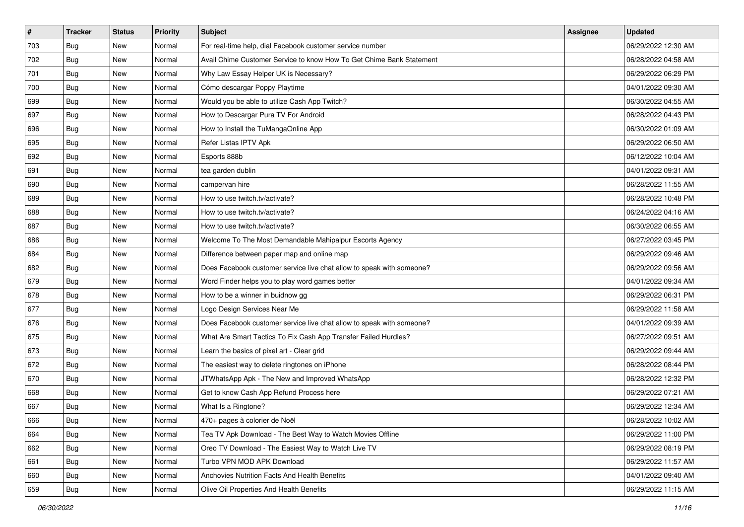| $\vert$ # | <b>Tracker</b> | <b>Status</b> | <b>Priority</b> | Subject                                                               | <b>Assignee</b> | <b>Updated</b>      |
|-----------|----------------|---------------|-----------------|-----------------------------------------------------------------------|-----------------|---------------------|
| 703       | <b>Bug</b>     | New           | Normal          | For real-time help, dial Facebook customer service number             |                 | 06/29/2022 12:30 AM |
| 702       | Bug            | New           | Normal          | Avail Chime Customer Service to know How To Get Chime Bank Statement  |                 | 06/28/2022 04:58 AM |
| 701       | <b>Bug</b>     | New           | Normal          | Why Law Essay Helper UK is Necessary?                                 |                 | 06/29/2022 06:29 PM |
| 700       | <b>Bug</b>     | New           | Normal          | Cómo descargar Poppy Playtime                                         |                 | 04/01/2022 09:30 AM |
| 699       | <b>Bug</b>     | <b>New</b>    | Normal          | Would you be able to utilize Cash App Twitch?                         |                 | 06/30/2022 04:55 AM |
| 697       | <b>Bug</b>     | New           | Normal          | How to Descargar Pura TV For Android                                  |                 | 06/28/2022 04:43 PM |
| 696       | <b>Bug</b>     | New           | Normal          | How to Install the TuMangaOnline App                                  |                 | 06/30/2022 01:09 AM |
| 695       | <b>Bug</b>     | New           | Normal          | Refer Listas IPTV Apk                                                 |                 | 06/29/2022 06:50 AM |
| 692       | <b>Bug</b>     | New           | Normal          | Esports 888b                                                          |                 | 06/12/2022 10:04 AM |
| 691       | Bug            | <b>New</b>    | Normal          | tea garden dublin                                                     |                 | 04/01/2022 09:31 AM |
| 690       | Bug            | New           | Normal          | campervan hire                                                        |                 | 06/28/2022 11:55 AM |
| 689       | Bug            | New           | Normal          | How to use twitch.tv/activate?                                        |                 | 06/28/2022 10:48 PM |
| 688       | <b>Bug</b>     | New           | Normal          | How to use twitch.tv/activate?                                        |                 | 06/24/2022 04:16 AM |
| 687       | <b>Bug</b>     | New           | Normal          | How to use twitch.tv/activate?                                        |                 | 06/30/2022 06:55 AM |
| 686       | <b>Bug</b>     | New           | Normal          | Welcome To The Most Demandable Mahipalpur Escorts Agency              |                 | 06/27/2022 03:45 PM |
| 684       | <b>Bug</b>     | New           | Normal          | Difference between paper map and online map                           |                 | 06/29/2022 09:46 AM |
| 682       | <b>Bug</b>     | New           | Normal          | Does Facebook customer service live chat allow to speak with someone? |                 | 06/29/2022 09:56 AM |
| 679       | Bug            | <b>New</b>    | Normal          | Word Finder helps you to play word games better                       |                 | 04/01/2022 09:34 AM |
| 678       | <b>Bug</b>     | New           | Normal          | How to be a winner in buidnow gg                                      |                 | 06/29/2022 06:31 PM |
| 677       | Bug            | New           | Normal          | Logo Design Services Near Me                                          |                 | 06/29/2022 11:58 AM |
| 676       | <b>Bug</b>     | New           | Normal          | Does Facebook customer service live chat allow to speak with someone? |                 | 04/01/2022 09:39 AM |
| 675       | <b>Bug</b>     | New           | Normal          | What Are Smart Tactics To Fix Cash App Transfer Failed Hurdles?       |                 | 06/27/2022 09:51 AM |
| 673       | Bug            | <b>New</b>    | Normal          | Learn the basics of pixel art - Clear grid                            |                 | 06/29/2022 09:44 AM |
| 672       | <b>Bug</b>     | New           | Normal          | The easiest way to delete ringtones on iPhone                         |                 | 06/28/2022 08:44 PM |
| 670       | <b>Bug</b>     | New           | Normal          | JTWhatsApp Apk - The New and Improved WhatsApp                        |                 | 06/28/2022 12:32 PM |
| 668       | <b>Bug</b>     | New           | Normal          | Get to know Cash App Refund Process here                              |                 | 06/29/2022 07:21 AM |
| 667       | <b>Bug</b>     | New           | Normal          | What Is a Ringtone?                                                   |                 | 06/29/2022 12:34 AM |
| 666       | i Bug          | New           | Normal          | 470+ pages à colorier de Noël                                         |                 | 06/28/2022 10:02 AM |
| 664       | Bug            | New           | Normal          | Tea TV Apk Download - The Best Way to Watch Movies Offline            |                 | 06/29/2022 11:00 PM |
| 662       | Bug            | New           | Normal          | Oreo TV Download - The Easiest Way to Watch Live TV                   |                 | 06/29/2022 08:19 PM |
| 661       | Bug            | New           | Normal          | Turbo VPN MOD APK Download                                            |                 | 06/29/2022 11:57 AM |
| 660       | Bug            | New           | Normal          | Anchovies Nutrition Facts And Health Benefits                         |                 | 04/01/2022 09:40 AM |
| 659       | <b>Bug</b>     | New           | Normal          | Olive Oil Properties And Health Benefits                              |                 | 06/29/2022 11:15 AM |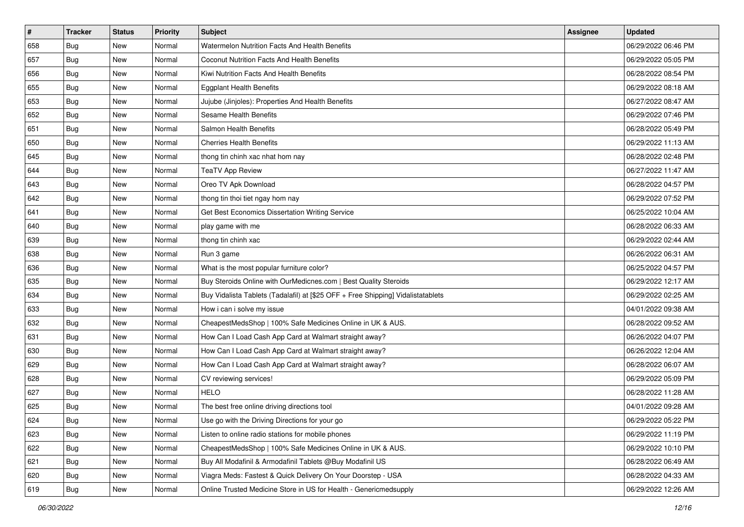| $\vert$ # | <b>Tracker</b> | <b>Status</b> | Priority | <b>Subject</b>                                                                   | <b>Assignee</b> | <b>Updated</b>      |
|-----------|----------------|---------------|----------|----------------------------------------------------------------------------------|-----------------|---------------------|
| 658       | <b>Bug</b>     | New           | Normal   | Watermelon Nutrition Facts And Health Benefits                                   |                 | 06/29/2022 06:46 PM |
| 657       | Bug            | New           | Normal   | Coconut Nutrition Facts And Health Benefits                                      |                 | 06/29/2022 05:05 PM |
| 656       | Bug            | New           | Normal   | Kiwi Nutrition Facts And Health Benefits                                         |                 | 06/28/2022 08:54 PM |
| 655       | Bug            | New           | Normal   | <b>Eggplant Health Benefits</b>                                                  |                 | 06/29/2022 08:18 AM |
| 653       | Bug            | <b>New</b>    | Normal   | Jujube (Jinjoles): Properties And Health Benefits                                |                 | 06/27/2022 08:47 AM |
| 652       | Bug            | New           | Normal   | Sesame Health Benefits                                                           |                 | 06/29/2022 07:46 PM |
| 651       | Bug            | New           | Normal   | Salmon Health Benefits                                                           |                 | 06/28/2022 05:49 PM |
| 650       | Bug            | New           | Normal   | <b>Cherries Health Benefits</b>                                                  |                 | 06/29/2022 11:13 AM |
| 645       | Bug            | New           | Normal   | thong tin chinh xac nhat hom nay                                                 |                 | 06/28/2022 02:48 PM |
| 644       | Bug            | <b>New</b>    | Normal   | <b>TeaTV App Review</b>                                                          |                 | 06/27/2022 11:47 AM |
| 643       | <b>Bug</b>     | New           | Normal   | Oreo TV Apk Download                                                             |                 | 06/28/2022 04:57 PM |
| 642       | Bug            | New           | Normal   | thong tin thoi tiet ngay hom nay                                                 |                 | 06/29/2022 07:52 PM |
| 641       | Bug            | New           | Normal   | Get Best Economics Dissertation Writing Service                                  |                 | 06/25/2022 10:04 AM |
| 640       | Bug            | <b>New</b>    | Normal   | play game with me                                                                |                 | 06/28/2022 06:33 AM |
| 639       | Bug            | New           | Normal   | thong tin chinh xac                                                              |                 | 06/29/2022 02:44 AM |
| 638       | <b>Bug</b>     | New           | Normal   | Run 3 game                                                                       |                 | 06/26/2022 06:31 AM |
| 636       | Bug            | New           | Normal   | What is the most popular furniture color?                                        |                 | 06/25/2022 04:57 PM |
| 635       | Bug            | New           | Normal   | Buy Steroids Online with OurMedicnes.com   Best Quality Steroids                 |                 | 06/29/2022 12:17 AM |
| 634       | Bug            | New           | Normal   | Buy Vidalista Tablets (Tadalafil) at [\$25 OFF + Free Shipping] Vidalistatablets |                 | 06/29/2022 02:25 AM |
| 633       | Bug            | New           | Normal   | How i can i solve my issue                                                       |                 | 04/01/2022 09:38 AM |
| 632       | <b>Bug</b>     | New           | Normal   | CheapestMedsShop   100% Safe Medicines Online in UK & AUS.                       |                 | 06/28/2022 09:52 AM |
| 631       | Bug            | New           | Normal   | How Can I Load Cash App Card at Walmart straight away?                           |                 | 06/26/2022 04:07 PM |
| 630       | Bug            | <b>New</b>    | Normal   | How Can I Load Cash App Card at Walmart straight away?                           |                 | 06/26/2022 12:04 AM |
| 629       | <b>Bug</b>     | New           | Normal   | How Can I Load Cash App Card at Walmart straight away?                           |                 | 06/28/2022 06:07 AM |
| 628       | <b>Bug</b>     | New           | Normal   | CV reviewing services!                                                           |                 | 06/29/2022 05:09 PM |
| 627       | Bug            | New           | Normal   | <b>HELO</b>                                                                      |                 | 06/28/2022 11:28 AM |
| 625       | <b>Bug</b>     | <b>New</b>    | Normal   | The best free online driving directions tool                                     |                 | 04/01/2022 09:28 AM |
| 624       | <b>Bug</b>     | New           | Normal   | Use go with the Driving Directions for your go                                   |                 | 06/29/2022 05:22 PM |
| 623       | Bug            | New           | Normal   | Listen to online radio stations for mobile phones                                |                 | 06/29/2022 11:19 PM |
| 622       | Bug            | New           | Normal   | CheapestMedsShop   100% Safe Medicines Online in UK & AUS.                       |                 | 06/29/2022 10:10 PM |
| 621       | Bug            | New           | Normal   | Buy All Modafinil & Armodafinil Tablets @Buy Modafinil US                        |                 | 06/28/2022 06:49 AM |
| 620       | <b>Bug</b>     | New           | Normal   | Viagra Meds: Fastest & Quick Delivery On Your Doorstep - USA                     |                 | 06/28/2022 04:33 AM |
| 619       | <b>Bug</b>     | New           | Normal   | Online Trusted Medicine Store in US for Health - Genericmedsupply                |                 | 06/29/2022 12:26 AM |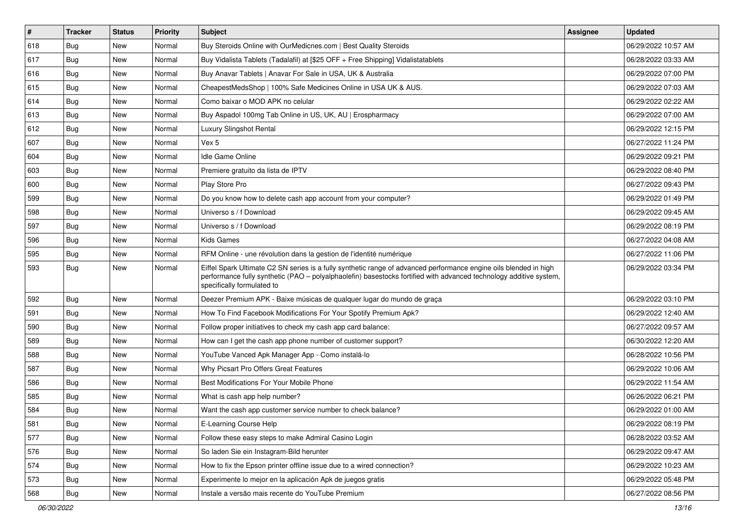| $\vert$ # | <b>Tracker</b> | <b>Status</b> | Priority | <b>Subject</b>                                                                                                                                                                                                                                                        | <b>Assignee</b> | <b>Updated</b>      |
|-----------|----------------|---------------|----------|-----------------------------------------------------------------------------------------------------------------------------------------------------------------------------------------------------------------------------------------------------------------------|-----------------|---------------------|
| 618       | <b>Bug</b>     | New           | Normal   | Buy Steroids Online with OurMedicnes.com   Best Quality Steroids                                                                                                                                                                                                      |                 | 06/29/2022 10:57 AM |
| 617       | Bug            | New           | Normal   | Buy Vidalista Tablets (Tadalafil) at [\$25 OFF + Free Shipping] Vidalistatablets                                                                                                                                                                                      |                 | 06/28/2022 03:33 AM |
| 616       | Bug            | New           | Normal   | Buy Anavar Tablets   Anavar For Sale in USA, UK & Australia                                                                                                                                                                                                           |                 | 06/29/2022 07:00 PM |
| 615       | Bug            | New           | Normal   | CheapestMedsShop   100% Safe Medicines Online in USA UK & AUS.                                                                                                                                                                                                        |                 | 06/29/2022 07:03 AM |
| 614       | Bug            | New           | Normal   | Como baixar o MOD APK no celular                                                                                                                                                                                                                                      |                 | 06/29/2022 02:22 AM |
| 613       | Bug            | New           | Normal   | Buy Aspadol 100mg Tab Online in US, UK, AU   Erospharmacy                                                                                                                                                                                                             |                 | 06/29/2022 07:00 AM |
| 612       | Bug            | New           | Normal   | Luxury Slingshot Rental                                                                                                                                                                                                                                               |                 | 06/29/2022 12:15 PM |
| 607       | <b>Bug</b>     | <b>New</b>    | Normal   | Vex 5                                                                                                                                                                                                                                                                 |                 | 06/27/2022 11:24 PM |
| 604       | Bug            | New           | Normal   | <b>Idle Game Online</b>                                                                                                                                                                                                                                               |                 | 06/29/2022 09:21 PM |
| 603       | Bug            | New           | Normal   | Premiere gratuito da lista de IPTV                                                                                                                                                                                                                                    |                 | 06/29/2022 08:40 PM |
| 600       | <b>Bug</b>     | New           | Normal   | Play Store Pro                                                                                                                                                                                                                                                        |                 | 06/27/2022 09:43 PM |
| 599       | <b>Bug</b>     | New           | Normal   | Do you know how to delete cash app account from your computer?                                                                                                                                                                                                        |                 | 06/29/2022 01:49 PM |
| 598       | Bug            | <b>New</b>    | Normal   | Universo s / f Download                                                                                                                                                                                                                                               |                 | 06/29/2022 09:45 AM |
| 597       | <b>Bug</b>     | New           | Normal   | Universo s / f Download                                                                                                                                                                                                                                               |                 | 06/29/2022 08:19 PM |
| 596       | Bug            | New           | Normal   | <b>Kids Games</b>                                                                                                                                                                                                                                                     |                 | 06/27/2022 04:08 AM |
| 595       | Bug            | New           | Normal   | RFM Online - une révolution dans la gestion de l'identité numérique                                                                                                                                                                                                   |                 | 06/27/2022 11:06 PM |
| 593       | Bug            | New           | Normal   | Eiffel Spark Ultimate C2 SN series is a fully synthetic range of advanced performance engine oils blended in high<br>performance fully synthetic (PAO - polyalphaolefin) basestocks fortified with advanced technology additive system,<br>specifically formulated to |                 | 06/29/2022 03:34 PM |
| 592       | Bug            | New           | Normal   | Deezer Premium APK - Baixe músicas de qualquer lugar do mundo de graça                                                                                                                                                                                                |                 | 06/29/2022 03:10 PM |
| 591       | Bug            | <b>New</b>    | Normal   | How To Find Facebook Modifications For Your Spotify Premium Apk?                                                                                                                                                                                                      |                 | 06/29/2022 12:40 AM |
| 590       | <b>Bug</b>     | New           | Normal   | Follow proper initiatives to check my cash app card balance:                                                                                                                                                                                                          |                 | 06/27/2022 09:57 AM |
| 589       | Bug            | New           | Normal   | How can I get the cash app phone number of customer support?                                                                                                                                                                                                          |                 | 06/30/2022 12:20 AM |
| 588       | <b>Bug</b>     | New           | Normal   | YouTube Vanced Apk Manager App - Como instalá-lo                                                                                                                                                                                                                      |                 | 06/28/2022 10:56 PM |
| 587       | Bug            | New           | Normal   | Why Picsart Pro Offers Great Features                                                                                                                                                                                                                                 |                 | 06/29/2022 10:06 AM |
| 586       | Bug            | New           | Normal   | Best Modifications For Your Mobile Phone                                                                                                                                                                                                                              |                 | 06/29/2022 11:54 AM |
| 585       | Bug            | New           | Normal   | What is cash app help number?                                                                                                                                                                                                                                         |                 | 06/26/2022 06:21 PM |
| 584       | Bug            | New           | Normal   | Want the cash app customer service number to check balance?                                                                                                                                                                                                           |                 | 06/29/2022 01:00 AM |
| 581       | Bug            | New           | Normal   | E-Learning Course Help                                                                                                                                                                                                                                                |                 | 06/29/2022 08:19 PM |
| 577       | Bug            | New           | Normal   | Follow these easy steps to make Admiral Casino Login                                                                                                                                                                                                                  |                 | 06/28/2022 03:52 AM |
| 576       | Bug            | New           | Normal   | So laden Sie ein Instagram-Bild herunter                                                                                                                                                                                                                              |                 | 06/29/2022 09:47 AM |
| 574       | Bug            | New           | Normal   | How to fix the Epson printer offline issue due to a wired connection?                                                                                                                                                                                                 |                 | 06/29/2022 10:23 AM |
| 573       | <b>Bug</b>     | New           | Normal   | Experimente lo mejor en la aplicación Apk de juegos gratis                                                                                                                                                                                                            |                 | 06/29/2022 05:48 PM |
| 568       | <b>Bug</b>     | New           | Normal   | Instale a versão mais recente do YouTube Premium                                                                                                                                                                                                                      |                 | 06/27/2022 08:56 PM |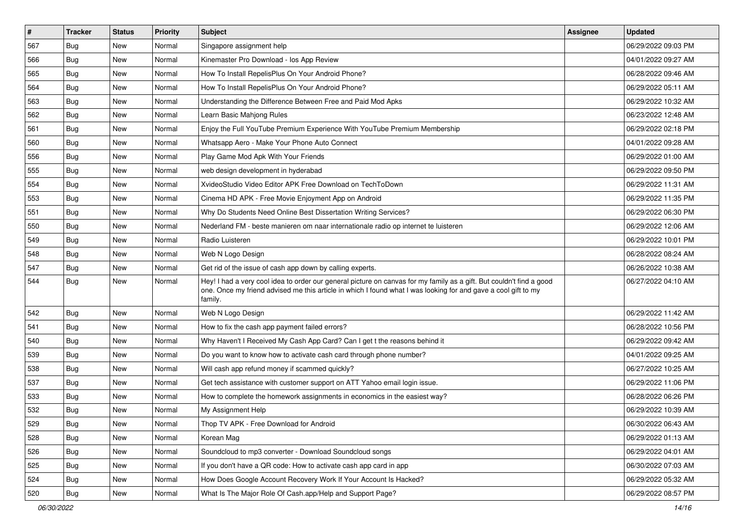| $\sharp$ | <b>Tracker</b> | <b>Status</b> | Priority | Subject                                                                                                                                                                                                                                           | <b>Assignee</b> | <b>Updated</b>      |
|----------|----------------|---------------|----------|---------------------------------------------------------------------------------------------------------------------------------------------------------------------------------------------------------------------------------------------------|-----------------|---------------------|
| 567      | <b>Bug</b>     | New           | Normal   | Singapore assignment help                                                                                                                                                                                                                         |                 | 06/29/2022 09:03 PM |
| 566      | <b>Bug</b>     | New           | Normal   | Kinemaster Pro Download - los App Review                                                                                                                                                                                                          |                 | 04/01/2022 09:27 AM |
| 565      | Bug            | New           | Normal   | How To Install RepelisPlus On Your Android Phone?                                                                                                                                                                                                 |                 | 06/28/2022 09:46 AM |
| 564      | <b>Bug</b>     | New           | Normal   | How To Install RepelisPlus On Your Android Phone?                                                                                                                                                                                                 |                 | 06/29/2022 05:11 AM |
| 563      | Bug            | New           | Normal   | Understanding the Difference Between Free and Paid Mod Apks                                                                                                                                                                                       |                 | 06/29/2022 10:32 AM |
| 562      | <b>Bug</b>     | New           | Normal   | Learn Basic Mahjong Rules                                                                                                                                                                                                                         |                 | 06/23/2022 12:48 AM |
| 561      | <b>Bug</b>     | New           | Normal   | Enjoy the Full YouTube Premium Experience With YouTube Premium Membership                                                                                                                                                                         |                 | 06/29/2022 02:18 PM |
| 560      | <b>Bug</b>     | New           | Normal   | Whatsapp Aero - Make Your Phone Auto Connect                                                                                                                                                                                                      |                 | 04/01/2022 09:28 AM |
| 556      | Bug            | New           | Normal   | Play Game Mod Apk With Your Friends                                                                                                                                                                                                               |                 | 06/29/2022 01:00 AM |
| 555      | Bug            | New           | Normal   | web design development in hyderabad                                                                                                                                                                                                               |                 | 06/29/2022 09:50 PM |
| 554      | Bug            | New           | Normal   | XvideoStudio Video Editor APK Free Download on TechToDown                                                                                                                                                                                         |                 | 06/29/2022 11:31 AM |
| 553      | Bug            | New           | Normal   | Cinema HD APK - Free Movie Enjoyment App on Android                                                                                                                                                                                               |                 | 06/29/2022 11:35 PM |
| 551      | Bug            | <b>New</b>    | Normal   | Why Do Students Need Online Best Dissertation Writing Services?                                                                                                                                                                                   |                 | 06/29/2022 06:30 PM |
| 550      | <b>Bug</b>     | New           | Normal   | Nederland FM - beste manieren om naar internationale radio op internet te luisteren                                                                                                                                                               |                 | 06/29/2022 12:06 AM |
| 549      | <b>Bug</b>     | <b>New</b>    | Normal   | Radio Luisteren                                                                                                                                                                                                                                   |                 | 06/29/2022 10:01 PM |
| 548      | Bug            | New           | Normal   | Web N Logo Design                                                                                                                                                                                                                                 |                 | 06/28/2022 08:24 AM |
| 547      | <b>Bug</b>     | New           | Normal   | Get rid of the issue of cash app down by calling experts.                                                                                                                                                                                         |                 | 06/26/2022 10:38 AM |
| 544      | <b>Bug</b>     | New           | Normal   | Hey! I had a very cool idea to order our general picture on canvas for my family as a gift. But couldn't find a good<br>one. Once my friend advised me this article in which I found what I was looking for and gave a cool gift to my<br>family. |                 | 06/27/2022 04:10 AM |
| 542      | Bug            | <b>New</b>    | Normal   | Web N Logo Design                                                                                                                                                                                                                                 |                 | 06/29/2022 11:42 AM |
| 541      | Bug            | New           | Normal   | How to fix the cash app payment failed errors?                                                                                                                                                                                                    |                 | 06/28/2022 10:56 PM |
| 540      | <b>Bug</b>     | <b>New</b>    | Normal   | Why Haven't I Received My Cash App Card? Can I get t the reasons behind it                                                                                                                                                                        |                 | 06/29/2022 09:42 AM |
| 539      | Bug            | New           | Normal   | Do you want to know how to activate cash card through phone number?                                                                                                                                                                               |                 | 04/01/2022 09:25 AM |
| 538      | <b>Bug</b>     | New           | Normal   | Will cash app refund money if scammed quickly?                                                                                                                                                                                                    |                 | 06/27/2022 10:25 AM |
| 537      | Bug            | <b>New</b>    | Normal   | Get tech assistance with customer support on ATT Yahoo email login issue.                                                                                                                                                                         |                 | 06/29/2022 11:06 PM |
| 533      | <b>Bug</b>     | New           | Normal   | How to complete the homework assignments in economics in the easiest way?                                                                                                                                                                         |                 | 06/28/2022 06:26 PM |
| 532      | Bug            | New           | Normal   | My Assignment Help                                                                                                                                                                                                                                |                 | 06/29/2022 10:39 AM |
| 529      | Bug            | New           | Normal   | Thop TV APK - Free Download for Android                                                                                                                                                                                                           |                 | 06/30/2022 06:43 AM |
| 528      | Bug            | New           | Normal   | Korean Mag                                                                                                                                                                                                                                        |                 | 06/29/2022 01:13 AM |
| 526      | <b>Bug</b>     | New           | Normal   | Soundcloud to mp3 converter - Download Soundcloud songs                                                                                                                                                                                           |                 | 06/29/2022 04:01 AM |
| 525      | <b>Bug</b>     | New           | Normal   | If you don't have a QR code: How to activate cash app card in app                                                                                                                                                                                 |                 | 06/30/2022 07:03 AM |
| 524      | Bug            | New           | Normal   | How Does Google Account Recovery Work If Your Account Is Hacked?                                                                                                                                                                                  |                 | 06/29/2022 05:32 AM |
| 520      | <b>Bug</b>     | New           | Normal   | What Is The Major Role Of Cash.app/Help and Support Page?                                                                                                                                                                                         |                 | 06/29/2022 08:57 PM |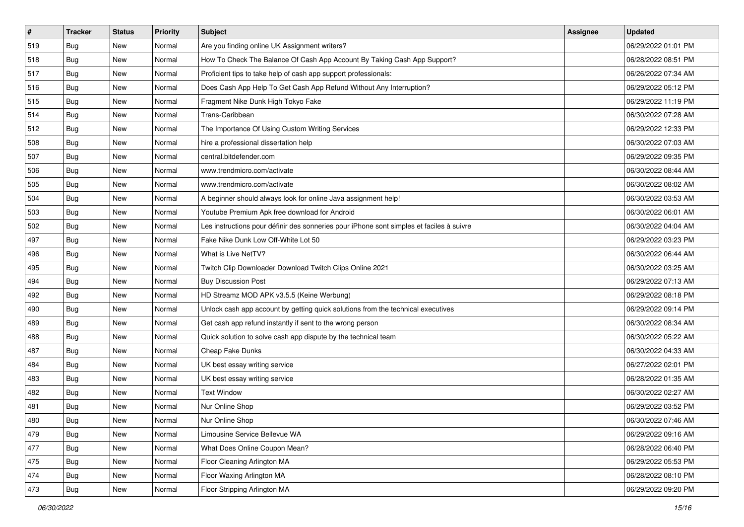| $\pmb{\#}$ | <b>Tracker</b> | <b>Status</b> | <b>Priority</b> | Subject                                                                                  | <b>Assignee</b> | <b>Updated</b>      |
|------------|----------------|---------------|-----------------|------------------------------------------------------------------------------------------|-----------------|---------------------|
| 519        | Bug            | New           | Normal          | Are you finding online UK Assignment writers?                                            |                 | 06/29/2022 01:01 PM |
| 518        | Bug            | New           | Normal          | How To Check The Balance Of Cash App Account By Taking Cash App Support?                 |                 | 06/28/2022 08:51 PM |
| 517        | <b>Bug</b>     | New           | Normal          | Proficient tips to take help of cash app support professionals:                          |                 | 06/26/2022 07:34 AM |
| 516        | Bug            | New           | Normal          | Does Cash App Help To Get Cash App Refund Without Any Interruption?                      |                 | 06/29/2022 05:12 PM |
| 515        | Bug            | <b>New</b>    | Normal          | Fragment Nike Dunk High Tokyo Fake                                                       |                 | 06/29/2022 11:19 PM |
| 514        | Bug            | New           | Normal          | Trans-Caribbean                                                                          |                 | 06/30/2022 07:28 AM |
| 512        | Bug            | New           | Normal          | The Importance Of Using Custom Writing Services                                          |                 | 06/29/2022 12:33 PM |
| 508        | Bug            | <b>New</b>    | Normal          | hire a professional dissertation help                                                    |                 | 06/30/2022 07:03 AM |
| 507        | Bug            | New           | Normal          | central.bitdefender.com                                                                  |                 | 06/29/2022 09:35 PM |
| 506        | Bug            | <b>New</b>    | Normal          | www.trendmicro.com/activate                                                              |                 | 06/30/2022 08:44 AM |
| 505        | Bug            | New           | Normal          | www.trendmicro.com/activate                                                              |                 | 06/30/2022 08:02 AM |
| 504        | Bug            | New           | Normal          | A beginner should always look for online Java assignment help!                           |                 | 06/30/2022 03:53 AM |
| 503        | Bug            | <b>New</b>    | Normal          | Youtube Premium Apk free download for Android                                            |                 | 06/30/2022 06:01 AM |
| 502        | Bug            | New           | Normal          | Les instructions pour définir des sonneries pour iPhone sont simples et faciles à suivre |                 | 06/30/2022 04:04 AM |
| 497        | Bug            | New           | Normal          | Fake Nike Dunk Low Off-White Lot 50                                                      |                 | 06/29/2022 03:23 PM |
| 496        | Bug            | New           | Normal          | What is Live NetTV?                                                                      |                 | 06/30/2022 06:44 AM |
| 495        | Bug            | New           | Normal          | Twitch Clip Downloader Download Twitch Clips Online 2021                                 |                 | 06/30/2022 03:25 AM |
| 494        | Bug            | <b>New</b>    | Normal          | <b>Buy Discussion Post</b>                                                               |                 | 06/29/2022 07:13 AM |
| 492        | Bug            | New           | Normal          | HD Streamz MOD APK v3.5.5 (Keine Werbung)                                                |                 | 06/29/2022 08:18 PM |
| 490        | Bug            | New           | Normal          | Unlock cash app account by getting quick solutions from the technical executives         |                 | 06/29/2022 09:14 PM |
| 489        | Bug            | <b>New</b>    | Normal          | Get cash app refund instantly if sent to the wrong person                                |                 | 06/30/2022 08:34 AM |
| 488        | Bug            | New           | Normal          | Quick solution to solve cash app dispute by the technical team                           |                 | 06/30/2022 05:22 AM |
| 487        | Bug            | New           | Normal          | Cheap Fake Dunks                                                                         |                 | 06/30/2022 04:33 AM |
| 484        | Bug            | New           | Normal          | UK best essay writing service                                                            |                 | 06/27/2022 02:01 PM |
| 483        | Bug            | New           | Normal          | UK best essay writing service                                                            |                 | 06/28/2022 01:35 AM |
| 482        | Bug            | <b>New</b>    | Normal          | <b>Text Window</b>                                                                       |                 | 06/30/2022 02:27 AM |
| 481        | <b>Bug</b>     | New           | Normal          | Nur Online Shop                                                                          |                 | 06/29/2022 03:52 PM |
| 480        | <b>Bug</b>     | New           | Normal          | Nur Online Shop                                                                          |                 | 06/30/2022 07:46 AM |
| 479        | Bug            | New           | Normal          | Limousine Service Bellevue WA                                                            |                 | 06/29/2022 09:16 AM |
| 477        | Bug            | New           | Normal          | What Does Online Coupon Mean?                                                            |                 | 06/28/2022 06:40 PM |
| 475        | <b>Bug</b>     | New           | Normal          | Floor Cleaning Arlington MA                                                              |                 | 06/29/2022 05:53 PM |
| 474        | Bug            | New           | Normal          | Floor Waxing Arlington MA                                                                |                 | 06/28/2022 08:10 PM |
| 473        | <b>Bug</b>     | New           | Normal          | Floor Stripping Arlington MA                                                             |                 | 06/29/2022 09:20 PM |